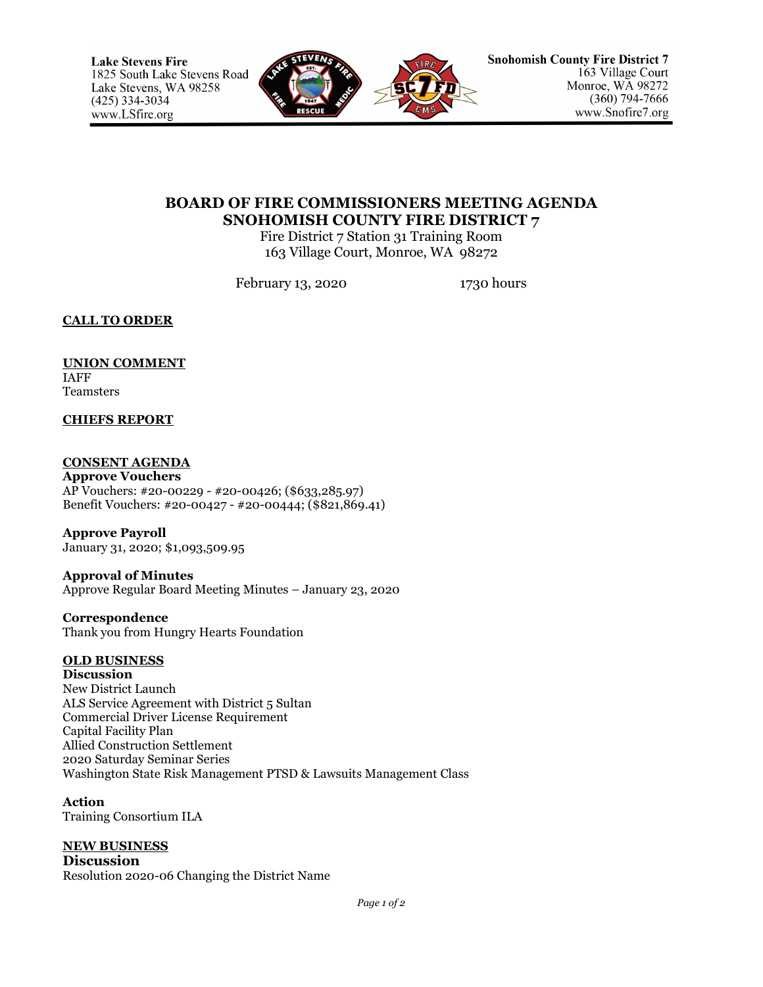

## **BOARD OF FIRE COMMISSIONERS MEETING AGENDA SNOHOMISH COUNTY FIRE DISTRICT 7**

Fire District 7 Station 31 Training Room 163 Village Court, Monroe, WA 98272

February 13, 2020 1730 hours

**CALL TO ORDER**

## **UNION COMMENT** IAFF

Teamsters

## **CHIEFS REPORT**

## **CONSENT AGENDA**

**Approve Vouchers** AP Vouchers: #20-00229 - #20-00426; (\$633,285.97) Benefit Vouchers: #20-00427 - #20-00444; (\$821,869.41)

**Approve Payroll** January 31, 2020; \$1,093,509.95

**Approval of Minutes** Approve Regular Board Meeting Minutes – January 23, 2020

**Correspondence** Thank you from Hungry Hearts Foundation

# **OLD BUSINESS**

**Discussion** New District Launch ALS Service Agreement with District 5 Sultan Commercial Driver License Requirement Capital Facility Plan Allied Construction Settlement 2020 Saturday Seminar Series Washington State Risk Management PTSD & Lawsuits Management Class

**Action** Training Consortium ILA

# **NEW BUSINESS**

**Discussion** Resolution 2020-06 Changing the District Name